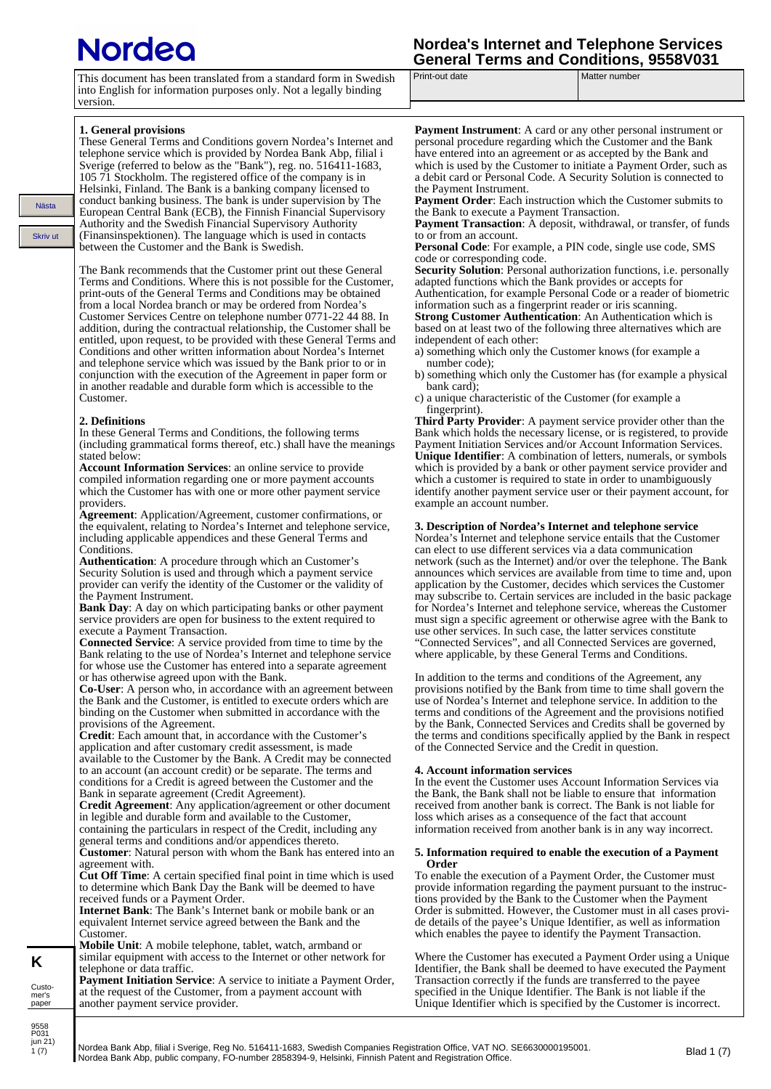# <u>Iordeo</u>

| <b>Nordea's Internet and Telephone Services</b> |  |
|-------------------------------------------------|--|
| <b>General Terms and Conditions, 9558V031</b>   |  |

| This document has been translated from a standard form in Swedish |
|-------------------------------------------------------------------|
| into English for information purposes only. Not a legally binding |
| version.                                                          |

Print-out date Matter number

## **1. General provisions**

Nästa

Skriv ut

These General Terms and Conditions govern Nordea's Internet and telephone service which is provided by Nordea Bank Abp, filial i Sverige (referred to below as the "Bank"), reg. no. 516411-1683, 105 71 Stockholm. The registered office of the company is in Helsinki, Finland. The Bank is a banking company licensed to conduct banking business. The bank is under supervision by The European Central Bank (ECB), the Finnish Financial Supervisory Authority and the Swedish Financial Supervisory Authority (Finansinspektionen). The language which is used in contacts between the Customer and the Bank is Swedish.

The Bank recommends that the Customer print out these General Terms and Conditions. Where this is not possible for the Customer, print-outs of the General Terms and Conditions may be obtained from a local Nordea branch or may be ordered from Nordea's Customer Services Centre on telephone number 0771-22 44 88. In addition, during the contractual relationship, the Customer shall be entitled, upon request, to be provided with these General Terms and Conditions and other written information about Nordea's Internet and telephone service which was issued by the Bank prior to or in conjunction with the execution of the Agreement in paper form or in another readable and durable form which is accessible to the Customer.

#### **2. Definitions**

In these General Terms and Conditions, the following terms (including grammatical forms thereof, etc.) shall have the meanings stated below:

**Account Information Services**: an online service to provide compiled information regarding one or more payment accounts which the Customer has with one or more other payment service providers.

**Agreement**: Application/Agreement, customer confirmations, or the equivalent, relating to Nordea's Internet and telephone service, including applicable appendices and these General Terms and Conditions.

**Authentication**: A procedure through which an Customer's Security Solution is used and through which a payment service provider can verify the identity of the Customer or the validity of the Payment Instrument.

**Bank Day**: A day on which participating banks or other payment service providers are open for business to the extent required to execute a Payment Transaction.

**Connected Service**: A service provided from time to time by the Bank relating to the use of Nordea's Internet and telephone service for whose use the Customer has entered into a separate agreement or has otherwise agreed upon with the Bank.

**Co-User**: A person who, in accordance with an agreement between the Bank and the Customer, is entitled to execute orders which are binding on the Customer when submitted in accordance with the provisions of the Agreement.

**Credit**: Each amount that, in accordance with the Customer's application and after customary credit assessment, is made available to the Customer by the Bank. A Credit may be connected to an account (an account credit) or be separate. The terms and conditions for a Credit is agreed between the Customer and the Bank in separate agreement (Credit Agreement).

**Credit Agreement**: Any application/agreement or other document in legible and durable form and available to the Customer, containing the particulars in respect of the Credit, including any general terms and conditions and/or appendices thereto. **Customer**: Natural person with whom the Bank has entered into an

agreement with. **Cut Off Time**: A certain specified final point in time which is used to determine which Bank Day the Bank will be deemed to have

received funds or a Payment Order. **Internet Bank**: The Bank's Internet bank or mobile bank or an equivalent Internet service agreed between the Bank and the Customer.

**Mobile Unit**: A mobile telephone, tablet, watch, armband or similar equipment with access to the Internet or other network for telephone or data traffic.

Payment Initiation Service: A service to initiate a Payment Order, at the request of the Customer, from a payment account with another payment service provider.

**Payment Instrument**: A card or any other personal instrument or personal procedure regarding which the Customer and the Bank have entered into an agreement or as accepted by the Bank and which is used by the Customer to initiate a Payment Order, such as a debit card or Personal Code. A Security Solution is connected to the Payment Instrument.

**Payment Order**: Each instruction which the Customer submits to the Bank to execute a Payment Transaction.

Payment Transaction: A deposit, withdrawal, or transfer, of funds to or from an account.

**Personal Code**: For example, a PIN code, single use code, SMS code or corresponding code.

Security Solution: Personal authorization functions, i.e. personally adapted functions which the Bank provides or accepts for Authentication, for example Personal Code or a reader of biometric

information such as a fingerprint reader or iris scanning. **Strong Customer Authentication**: An Authentication which is based on at least two of the following three alternatives which are independent of each other:

a) something which only the Customer knows (for example a number code);

b) something which only the Customer has (for example a physical bank card);

c) a unique characteristic of the Customer (for example a fingerprint).

**Third Party Provider**: A payment service provider other than the Bank which holds the necessary license, or is registered, to provide Payment Initiation Services and/or Account Information Services. **Unique Identifier**: A combination of letters, numerals, or symbols which is provided by a bank or other payment service provider and which a customer is required to state in order to unambiguously identify another payment service user or their payment account, for example an account number.

#### **3. Description of Nordea's Internet and telephone service**

Nordea's Internet and telephone service entails that the Customer can elect to use different services via a data communication network (such as the Internet) and/or over the telephone. The Bank announces which services are available from time to time and, upon application by the Customer, decides which services the Customer may subscribe to. Certain services are included in the basic package for Nordea's Internet and telephone service, whereas the Customer must sign a specific agreement or otherwise agree with the Bank to use other services. In such case, the latter services constitute "Connected Services", and all Connected Services are governed, where applicable, by these General Terms and Conditions.

In addition to the terms and conditions of the Agreement, any provisions notified by the Bank from time to time shall govern the use of Nordea's Internet and telephone service. In addition to the terms and conditions of the Agreement and the provisions notified by the Bank, Connected Services and Credits shall be governed by the terms and conditions specifically applied by the Bank in respect of the Connected Service and the Credit in question.

#### **4. Account information services**

In the event the Customer uses Account Information Services via the Bank, the Bank shall not be liable to ensure that information received from another bank is correct. The Bank is not liable for loss which arises as a consequence of the fact that account information received from another bank is in any way incorrect.

#### **5. Information required to enable the execution of a Payment Order**

To enable the execution of a Payment Order, the Customer must provide information regarding the payment pursuant to the instructions provided by the Bank to the Customer when the Payment Order is submitted. However, the Customer must in all cases provide details of the payee's Unique Identifier, as well as information which enables the payee to identify the Payment Transaction.

Where the Customer has executed a Payment Order using a Unique Identifier, the Bank shall be deemed to have executed the Payment Transaction correctly if the funds are transferred to the payee specified in the Unique Identifier. The Bank is not liable if the Unique Identifier which is specified by the Customer is incorrect.

**K** Custo-

9558 P031<br>jun 21)  $1(7)$ 

mer's paper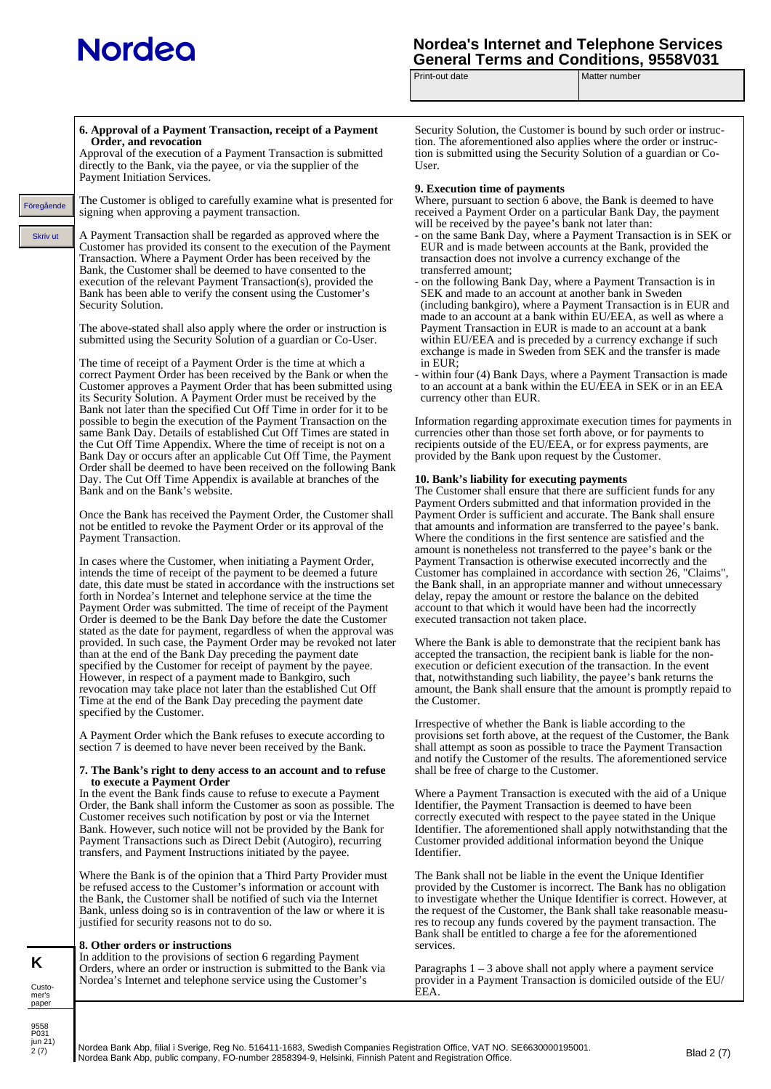# **Nordeo**

## **Nordea's Internet and Telephone Services**  General Terms and Conditions, 9558V031<br>Print-out date **Matter** number

Matter number

|                                  | 6. Approval of a Payment Transaction, receipt of a Payment<br>Order, and revocation<br>Approval of the execution of a Payment Transaction is submitted<br>directly to the Bank, via the payee, or via the supplier of the<br>Payment Initiation Services.                                                                                                                                                                                                                                                                                                                                                                                                                                                                                                              | <b>Security Solut</b><br>tion. The afore<br>tion is submitt<br>User.                                                                                     |
|----------------------------------|------------------------------------------------------------------------------------------------------------------------------------------------------------------------------------------------------------------------------------------------------------------------------------------------------------------------------------------------------------------------------------------------------------------------------------------------------------------------------------------------------------------------------------------------------------------------------------------------------------------------------------------------------------------------------------------------------------------------------------------------------------------------|----------------------------------------------------------------------------------------------------------------------------------------------------------|
| Föregående                       | The Customer is obliged to carefully examine what is presented for<br>signing when approving a payment transaction.                                                                                                                                                                                                                                                                                                                                                                                                                                                                                                                                                                                                                                                    | <b>9. Execution</b><br>Where, pursua<br>received a Pay                                                                                                   |
| <b>Skriv ut</b>                  | A Payment Transaction shall be regarded as approved where the<br>Customer has provided its consent to the execution of the Payment<br>Transaction. Where a Payment Order has been received by the<br>Bank, the Customer shall be deemed to have consented to the<br>execution of the relevant Payment Transaction(s), provided the<br>Bank has been able to verify the consent using the Customer's<br>Security Solution.                                                                                                                                                                                                                                                                                                                                              | will be receive<br>- on the same<br>EUR and is r<br>transaction d<br>transferred ar<br>- on the follow<br>SEK and ma<br>(including ba                    |
|                                  | The above-stated shall also apply where the order or instruction is<br>submitted using the Security Solution of a guardian or Co-User.                                                                                                                                                                                                                                                                                                                                                                                                                                                                                                                                                                                                                                 | made to an a<br>Payment Tra<br>within EU/El<br>exchange is re                                                                                            |
|                                  | The time of receipt of a Payment Order is the time at which a<br>correct Payment Order has been received by the Bank or when the<br>Customer approves a Payment Order that has been submitted using<br>its Security Solution. A Payment Order must be received by the<br>Bank not later than the specified Cut Off Time in order for it to be<br>possible to begin the execution of the Payment Transaction on the<br>same Bank Day. Details of established Cut Off Times are stated in<br>the Cut Off Time Appendix. Where the time of receipt is not on a<br>Bank Day or occurs after an applicable Cut Off Time, the Payment<br>Order shall be deemed to have been received on the following Bank<br>Day. The Cut Off Time Appendix is available at branches of the | in EUR;<br>- within four (<br>to an account<br>currency othe<br>Information re<br>currencies oth<br>recipients outs<br>provided by the<br>10. Bank's lia |
|                                  | Bank and on the Bank's website.<br>Once the Bank has received the Payment Order, the Customer shall<br>not be entitled to revoke the Payment Order or its approval of the<br>Payment Transaction.                                                                                                                                                                                                                                                                                                                                                                                                                                                                                                                                                                      | The Customer<br>Payment Orde<br>Payment Orde<br>that amounts a<br>Where the con                                                                          |
|                                  | In cases where the Customer, when initiating a Payment Order,<br>intends the time of receipt of the payment to be deemed a future<br>date, this date must be stated in accordance with the instructions set<br>forth in Nordea's Internet and telephone service at the time the<br>Payment Order was submitted. The time of receipt of the Payment<br>Order is deemed to be the Bank Day before the date the Customer<br>stated as the date for payment, regardless of when the approval was                                                                                                                                                                                                                                                                           | amount is non<br>Payment Tran<br>Customer has<br>the Bank shall<br>delay, repay th<br>account to that<br>executed trans                                  |
|                                  | provided. In such case, the Payment Order may be revoked not later<br>than at the end of the Bank Day preceding the payment date<br>specified by the Customer for receipt of payment by the payee.<br>However, in respect of a payment made to Bankgiro, such<br>revocation may take place not later than the established Cut Off<br>Time at the end of the Bank Day preceding the payment date<br>specified by the Customer.                                                                                                                                                                                                                                                                                                                                          | Where the Bai<br>accepted the ti<br>execution or d<br>that, notwithst<br>amount, the B<br>the Customer.                                                  |
|                                  | A Payment Order which the Bank refuses to execute according to<br>section 7 is deemed to have never been received by the Bank.                                                                                                                                                                                                                                                                                                                                                                                                                                                                                                                                                                                                                                         | Irrespective of<br>provisions set<br>shall attempt a<br>and notify the                                                                                   |
|                                  | 7. The Bank's right to deny access to an account and to refuse<br>to execute a Payment Order                                                                                                                                                                                                                                                                                                                                                                                                                                                                                                                                                                                                                                                                           | shall be free of                                                                                                                                         |
|                                  | In the event the Bank finds cause to refuse to execute a Payment<br>Order, the Bank shall inform the Customer as soon as possible. The<br>Customer receives such notification by post or via the Internet<br>Bank. However, such notice will not be provided by the Bank for<br>Payment Transactions such as Direct Debit (Autogiro), recurring<br>transfers, and Payment Instructions initiated by the payee.                                                                                                                                                                                                                                                                                                                                                         | Where a Paym<br>Identifier, the<br>correctly exec<br>Identifier. The<br>Customer prov<br>Identifier.                                                     |
|                                  | Where the Bank is of the opinion that a Third Party Provider must<br>be refused access to the Customer's information or account with<br>the Bank, the Customer shall be notified of such via the Internet<br>Bank, unless doing so is in contravention of the law or where it is<br>justified for security reasons not to do so.<br>8. Other orders or instructions                                                                                                                                                                                                                                                                                                                                                                                                    | The Bank shal<br>provided by the<br>to investigate<br>the request of<br>res to recoup a<br>Bank shall be                                                 |
| K<br>Custo-<br>mer's             | In addition to the provisions of section 6 regarding Payment<br>Orders, where an order or instruction is submitted to the Bank via<br>Nordea's Internet and telephone service using the Customer's                                                                                                                                                                                                                                                                                                                                                                                                                                                                                                                                                                     | services.<br>Paragraphs 1 -<br>provider in a I<br>EEA.                                                                                                   |
| paper<br>9558<br>P031<br>jun 21) |                                                                                                                                                                                                                                                                                                                                                                                                                                                                                                                                                                                                                                                                                                                                                                        |                                                                                                                                                          |

tion, the Customer is bound by such order or instrucementioned also applies where the order or instructed using the Security Solution of a guardian or Co-

## **dime of payments**

Int to section 6 above, the Bank is deemed to have ment Order on a particular Bank Day, the payment ed by the payee's bank not later than:

- Bank Day, where a Payment Transaction is in SEK or nade between accounts at the Bank, provided the oes not involve a currency exchange of the mount<sup>.</sup>
- ing Bank Day, where a Payment Transaction is in de to an account at another bank in Sweden inkgiro), where a Payment Transaction is in EUR and ccount at a bank within EU/EEA, as well as where a nsaction in EUR is made to an account at a bank EA and is preceded by a currency exchange if such made in Sweden from SEK and the transfer is made
- 4) Bank Days, where a Payment Transaction is made at a bank within the EU/EEA in SEK or in an EEA er than EUR.

garding approximate execution times for payments in er than those set forth above, or for payments to ride of the EU/EEA, or for express payments, are ne Bank upon request by the Customer.

## **10. Bank's liability for executing payments**

shall ensure that there are sufficient funds for any rs submitted and that information provided in the r is sufficient and accurate. The Bank shall ensure and information are transferred to the payee's bank. ditions in the first sentence are satisfied and the etheless not transferred to the payee's bank or the saction is otherwise executed incorrectly and the complained in accordance with section 26, "Claims", l, in an appropriate manner and without unnecessary he amount or restore the balance on the debited t which it would have been had the incorrectly action not taken place.

nk is able to demonstrate that the recipient bank has ransaction, the recipient bank is liable for the nonleficient execution of the transaction. In the event anding such liability, the payee's bank returns the ank shall ensure that the amount is promptly repaid to the Customer.

whether the Bank is liable according to the forth above, at the request of the Customer, the Bank is soon as possible to trace the Payment Transaction Customer of the results. The aforementioned service f charge to the Customer.

ent Transaction is executed with the aid of a Unique Payment Transaction is deemed to have been uted with respect to the payee stated in the Unique aforementioned shall apply notwithstanding that the vided additional information beyond the Unique

Il not be liable in the event the Unique Identifier e Customer is incorrect. The Bank has no obligation whether the Unique Identifier is correct. However, at the Customer, the Bank shall take reasonable measuany funds covered by the payment transaction. The entitled to charge a fee for the aforementioned

- 3 above shall not apply where a payment service Payment Transaction is domiciled outside of the EU/

Nordea Bank Abp, filial i Sverige, Reg No. 516411-1683, Swedish Companies Registration Office, VAT NO. SE6630000195001. nordea Bank Abp, fillal i Sverige, Reg No. 516411-1683, Swedish Companies Registration Office, VAT NO. SE6630000195001.<br>Nordea Bank Abp, public company, FO-number 2858394-9, Helsinki, Finnish Patent and Registration Office

 $2(7)$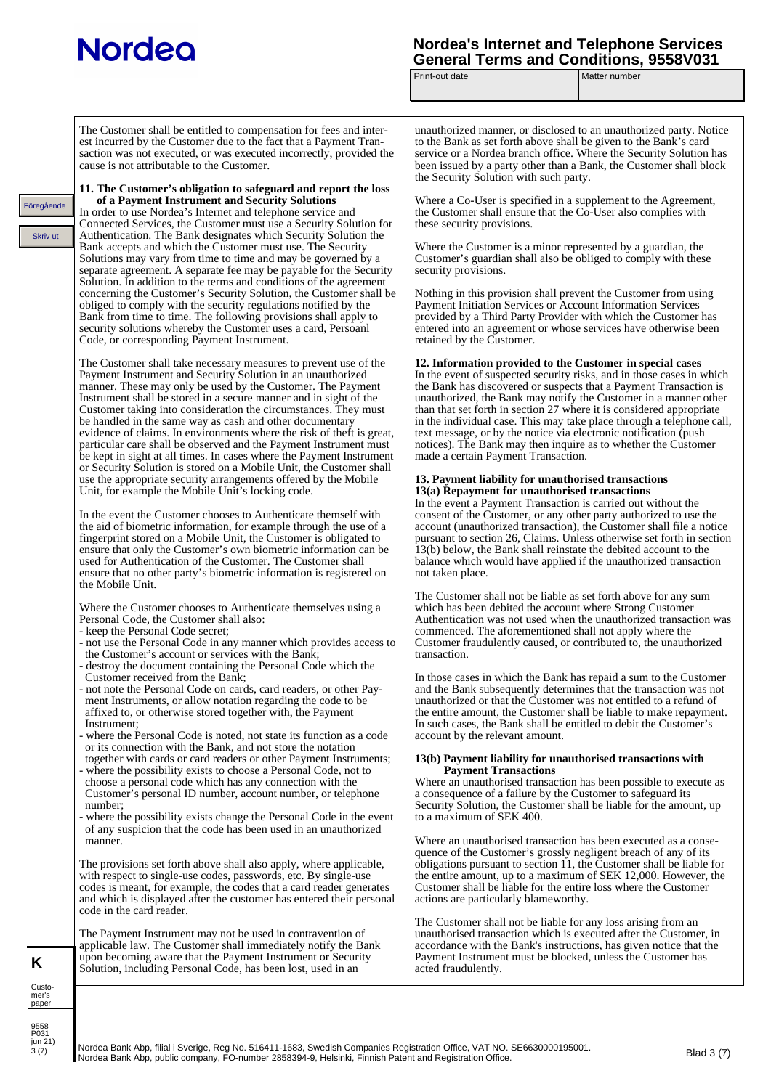## **Nordeo**

Skriv ut Föregående

## **Nordea's Internet and Telephone Services**  General Terms and Conditions, 9558V031<br>Print-out date **Matter** number

Matter number

The Customer shall be entitled to compensation for fees and interest incurred by the Customer due to the fact that a Payment Transaction was not executed, or was executed incorrectly, provided the cause is not attributable to the Customer.

**11. The Customer's obligation to safeguard and report the loss of a Payment Instrument and Security Solutions** In order to use Nordea's Internet and telephone service and Connected Services, the Customer must use a Security Solution for Authentication. The Bank designates which Security Solution the Bank accepts and which the Customer must use. The Security Solutions may vary from time to time and may be governed by a separate agreement. A separate fee may be payable for the Security Solution. In addition to the terms and conditions of the agreement concerning the Customer's Security Solution, the Customer shall be obliged to comply with the security regulations notified by the Bank from time to time. The following provisions shall apply to security solutions whereby the Customer uses a card, Persoanl Code, or corresponding Payment Instrument.

The Customer shall take necessary measures to prevent use of the Payment Instrument and Security Solution in an unauthorized manner. These may only be used by the Customer. The Payment Instrument shall be stored in a secure manner and in sight of the Customer taking into consideration the circumstances. They must be handled in the same way as cash and other documentary evidence of claims. In environments where the risk of theft is great, particular care shall be observed and the Payment Instrument must be kept in sight at all times. In cases where the Payment Instrument or Security Solution is stored on a Mobile Unit, the Customer shall use the appropriate security arrangements offered by the Mobile Unit, for example the Mobile Unit's locking code.

In the event the Customer chooses to Authenticate themself with the aid of biometric information, for example through the use of a fingerprint stored on a Mobile Unit, the Customer is obligated to ensure that only the Customer's own biometric information can be used for Authentication of the Customer. The Customer shall ensure that no other party's biometric information is registered on the Mobile Unit.

Where the Customer chooses to Authenticate themselves using a Personal Code, the Customer shall also:

- keep the Personal Code secret;
- not use the Personal Code in any manner which provides access to the Customer's account or services with the Bank;
- destroy the document containing the Personal Code which the Customer received from the Bank;
- not note the Personal Code on cards, card readers, or other Pay ment Instruments, or allow notation regarding the code to be affixed to, or otherwise stored together with, the Payment Instrument;
- where the Personal Code is noted, not state its function as a code or its connection with the Bank, and not store the notation
- together with cards or card readers or other Payment Instruments; where the possibility exists to choose a Personal Code, not to choose a personal code which has any connection with the Customer's personal ID number, account number, or telephone
- number; where the possibility exists change the Personal Code in the event
- of any suspicion that the code has been used in an unauthorized manner.

The provisions set forth above shall also apply, where applicable, with respect to single-use codes, passwords, etc. By single-use codes is meant, for example, the codes that a card reader generates and which is displayed after the customer has entered their personal code in the card reader.

The Payment Instrument may not be used in contravention of applicable law. The Customer shall immediately notify the Bank upon becoming aware that the Payment Instrument or Security Solution, including Personal Code, has been lost, used in an

unauthorized manner, or disclosed to an unauthorized party. Notice to the Bank as set forth above shall be given to the Bank's card service or a Nordea branch office. Where the Security Solution has been issued by a party other than a Bank, the Customer shall block the Security Solution with such party.

Where a Co-User is specified in a supplement to the Agreement, the Customer shall ensure that the Co-User also complies with these security provisions.

Where the Customer is a minor represented by a guardian, the Customer's guardian shall also be obliged to comply with these security provisions.

Nothing in this provision shall prevent the Customer from using Payment Initiation Services or Account Information Services provided by a Third Party Provider with which the Customer has entered into an agreement or whose services have otherwise been retained by the Customer.

## **12. Information provided to the Customer in special cases**

In the event of suspected security risks, and in those cases in which the Bank has discovered or suspects that a Payment Transaction is unauthorized, the Bank may notify the Customer in a manner other than that set forth in section 27 where it is considered appropriate in the individual case. This may take place through a telephone call, text message, or by the notice via electronic notification (push notices). The Bank may then inquire as to whether the Customer made a certain Payment Transaction.

#### **13. Payment liability for unauthorised transactions 13(a) Repayment for unauthorised transactions**

In the event a Payment Transaction is carried out without the consent of the Customer, or any other party authorized to use the account (unauthorized transaction), the Customer shall file a notice pursuant to section 26, Claims. Unless otherwise set forth in section 13(b) below, the Bank shall reinstate the debited account to the balance which would have applied if the unauthorized transaction not taken place.

The Customer shall not be liable as set forth above for any sum which has been debited the account where Strong Customer Authentication was not used when the unauthorized transaction was commenced. The aforementioned shall not apply where the Customer fraudulently caused, or contributed to, the unauthorized transaction.

In those cases in which the Bank has repaid a sum to the Customer and the Bank subsequently determines that the transaction was not unauthorized or that the Customer was not entitled to a refund of the entire amount, the Customer shall be liable to make repayment. In such cases, the Bank shall be entitled to debit the Customer's account by the relevant amount.

### **13(b) Payment liability for unauthorised transactions with Payment Transactions**

Where an unauthorised transaction has been possible to execute as a consequence of a failure by the Customer to safeguard its Security Solution, the Customer shall be liable for the amount, up to a maximum of SEK 400.

Where an unauthorised transaction has been executed as a consequence of the Customer's grossly negligent breach of any of its obligations pursuant to section 11, the Customer shall be liable for the entire amount, up to a maximum of SEK 12,000. However, the Customer shall be liable for the entire loss where the Customer actions are particularly blameworthy.

The Customer shall not be liable for any loss arising from an unauthorised transaction which is executed after the Customer, in accordance with the Bank's instructions, has given notice that the Payment Instrument must be blocked, unless the Customer has acted fraudulently.

**K** Custo-

9558 P031<br>jun 21)  $3(7)$ 

mer's paper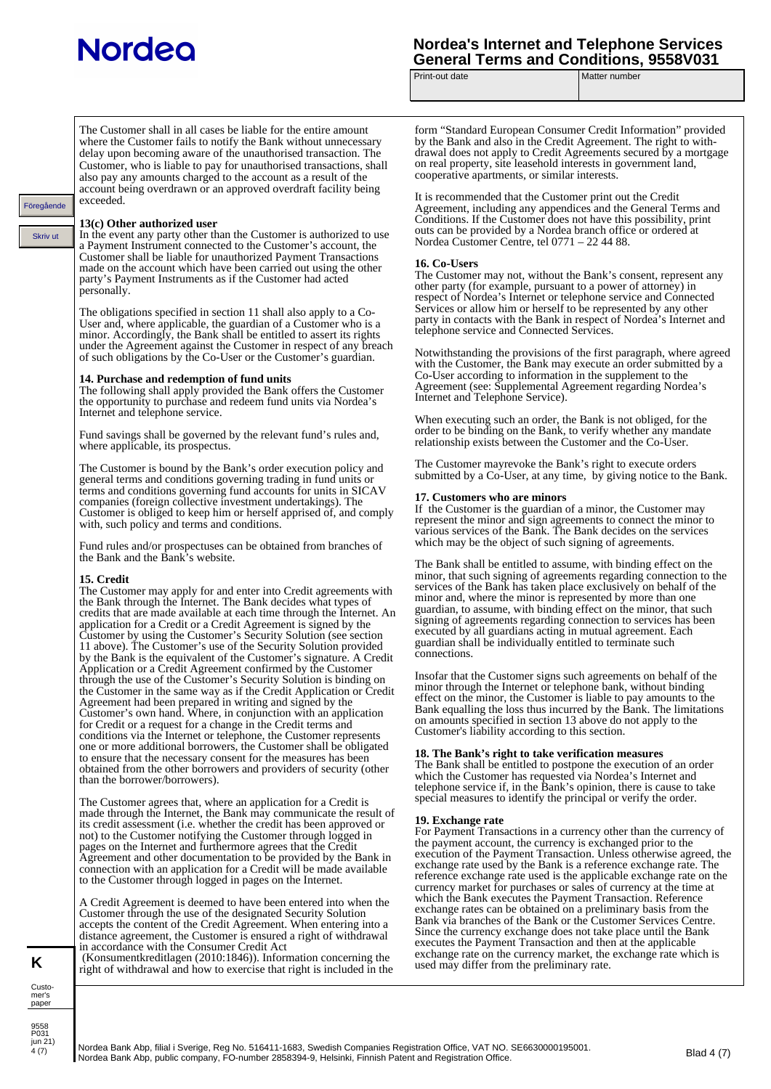Föregående<br>Skriv u

## **Nordea's Internet and Telephone Services General Terms and Conditions, 9558V031**

Print-out date Matter number

| de | The Customer shall in all cases be liable for the entire amount<br>where the Customer fails to notify the Bank without unnecessary<br>delay upon becoming aware of the unauthorised transaction. The<br>Customer, who is liable to pay for unauthorised transactions, shall<br>also pay any amounts charged to the account as a result of the<br>account being overdrawn or an approved overdraft facility being<br>exceeded.<br>13(c) Other authorized user<br>In the event any party other than the Customer is authorized to use<br>a Payment Instrument connected to the Customer's account, the<br>Customer shall be liable for unauthorized Payment Transactions<br>made on the account which have been carried out using the other<br>party's Payment Instruments as if the Customer had acted<br>personally.<br>The obligations specified in section 11 shall also apply to a Co-<br>User and, where applicable, the guardian of a Customer who is a<br>minor. Accordingly, the Bank shall be entitled to assert its rights<br>under the Agreement against the Customer in respect of any breach<br>of such obligations by the Co-User or the Customer's guardian.<br>14. Purchase and redemption of fund units<br>The following shall apply provided the Bank offers the Customer<br>the opportunity to purchase and redeem fund units via Nordea's<br>Internet and telephone service.<br>Fund savings shall be governed by the relevant fund's rules and,<br>where applicable, its prospectus.<br>The Customer is bound by the Bank's order execution policy and<br>general terms and conditions governing trading in fund units or<br>terms and conditions governing fund accounts for units in SICAV<br>companies (foreign collective investment undertakings). The<br>Customer is obliged to keep him or herself apprised of, and comply<br>with, such policy and terms and conditions.<br>Fund rules and/or prospectuses can be obtained from branches of<br>the Bank and the Bank's website.<br>15. Credit<br>The Customer may apply for and enter into Credit agreements with<br>the Bank through the Internet. The Bank decides what types of<br>credits that are made available at each time through the Internet. An<br>application for a Credit or a Credit Agreement is signed by the<br>Customer by using the Customer's Security Solution (see section<br>11 above). The Customer's use of the Security Solution provided<br>by the Bank is the equivalent of the Customer's signature. A Credit<br>Application or a Credit Agreement confirmed by the Customer<br>through the use of the Customer's Security Solution is binding on<br>the Customer in the same way as if the Credit Application or Credit<br>Agreement had been prepared in writing and signed by the<br>Customer's own hand. Where, in conjunction with an application<br>for Credit or a request for a change in the Credit terms and<br>conditions via the Internet or telephone, the Customer represents<br>one or more additional borrowers, the Customer shall be obligated<br>to ensure that the necessary consent for the measures has been<br>obtained from the other borrowers and providers of security (other<br>than the borrower/borrowers).<br>The Customer agrees that, where an application for a Credit is<br>made through the Internet, the Bank may communicate the result of<br>its credit assessment (i.e. whether the credit has been approved or<br>not) to the Customer notifying the Customer through logged in<br>pages on the Internet and furthermore agrees that the Credit<br>Agreement and other documentation to be provided by the Bank in<br>connection with an application for a Credit will be made available<br>to the Customer through logged in pages on the Internet.<br>A Credit Agreement is deemed to have been entered into when the<br>Customer through the use of the designated Security Solution<br>accepts the content of the Credit Agreement. When entering into a | form "Standard European Consumer Credit Information" provided<br>by the Bank and also in the Credit Agreement. The right to with-<br>drawal does not apply to Credit Agreements secured by a mortgage<br>on real property, site leasehold interests in government land,<br>cooperative apartments, or similar interests.<br>It is recommended that the Customer print out the Credit<br>Agreement, including any appendices and the General Terms and<br>Conditions. If the Customer does not have this possibility, print<br>outs can be provided by a Nordea branch office or ordered at<br>Nordea Customer Centre, tel 0771 – 22 44 88.<br>16. Co-Users<br>The Customer may not, without the Bank's consent, represent any<br>other party (for example, pursuant to a power of attorney) in<br>respect of Nordea's Internet or telephone service and Connected<br>Services or allow him or herself to be represented by any other<br>party in contacts with the Bank in respect of Nordea's Internet and<br>telephone service and Connected Services.<br>Notwithstanding the provisions of the first paragraph, where agreed<br>with the Customer, the Bank may execute an order submitted by a<br>Co-User according to information in the supplement to the<br>Agreement (see: Supplemental Agreement regarding Nordea's<br>Internet and Telephone Service).<br>When executing such an order, the Bank is not obliged, for the<br>order to be binding on the Bank, to verify whether any mandate<br>relationship exists between the Customer and the Co-User.<br>The Customer mayrevoke the Bank's right to execute orders<br>submitted by a Co-User, at any time, by giving notice to the Bank.<br>17. Customers who are minors<br>If the Customer is the guardian of a minor, the Customer may<br>represent the minor and sign agreements to connect the minor to<br>various services of the Bank. The Bank decides on the services<br>which may be the object of such signing of agreements.<br>The Bank shall be entitled to assume, with binding effect on the<br>minor, that such signing of agreements regarding connection to the<br>services of the Bank has taken place exclusively on behalf of the<br>minor and, where the minor is represented by more than one<br>guardian, to assume, with binding effect on the minor, that such<br>signing of agreements regarding connection to services has been<br>executed by all guardians acting in mutual agreement. Each<br>guardian shall be individually entitled to terminate such<br>connections.<br>Insofar that the Customer signs such agreements on behalf of the<br>minor through the Internet or telephone bank, without binding<br>effect on the minor, the Customer is liable to pay amounts to the<br>Bank equalling the loss thus incurred by the Bank. The limitations<br>on amounts specified in section 13 above do not apply to the<br>Customer's liability according to this section.<br>18. The Bank's right to take verification measures<br>The Bank shall be entitled to postpone the execution of an order<br>which the Customer has requested via Nordea's Internet and<br>telephone service if, in the Bank's opinion, there is cause to take<br>special measures to identify the principal or verify the order.<br>19. Exchange rate<br>For Payment Transactions in a currency other than the currency of<br>the payment account, the currency is exchanged prior to the<br>execution of the Payment Transaction. Unless otherwise agreed, the<br>exchange rate used by the Bank is a reference exchange rate. The<br>reference exchange rate used is the applicable exchange rate on the<br>currency market for purchases or sales of currency at the time at<br>which the Bank executes the Payment Transaction. Reference<br>exchange rates can be obtained on a preliminary basis from the<br>Bank via branches of the Bank or the Customer Services Centre. |
|----|-----------------------------------------------------------------------------------------------------------------------------------------------------------------------------------------------------------------------------------------------------------------------------------------------------------------------------------------------------------------------------------------------------------------------------------------------------------------------------------------------------------------------------------------------------------------------------------------------------------------------------------------------------------------------------------------------------------------------------------------------------------------------------------------------------------------------------------------------------------------------------------------------------------------------------------------------------------------------------------------------------------------------------------------------------------------------------------------------------------------------------------------------------------------------------------------------------------------------------------------------------------------------------------------------------------------------------------------------------------------------------------------------------------------------------------------------------------------------------------------------------------------------------------------------------------------------------------------------------------------------------------------------------------------------------------------------------------------------------------------------------------------------------------------------------------------------------------------------------------------------------------------------------------------------------------------------------------------------------------------------------------------------------------------------------------------------------------------------------------------------------------------------------------------------------------------------------------------------------------------------------------------------------------------------------------------------------------------------------------------------------------------------------------------------------------------------------------------------------------------------------------------------------------------------------------------------------------------------------------------------------------------------------------------------------------------------------------------------------------------------------------------------------------------------------------------------------------------------------------------------------------------------------------------------------------------------------------------------------------------------------------------------------------------------------------------------------------------------------------------------------------------------------------------------------------------------------------------------------------------------------------------------------------------------------------------------------------------------------------------------------------------------------------------------------------------------------------------------------------------------------------------------------------------------------------------------------------------------------------------------------------------------------------------------------------------------------------------------------------------------------------------------------------------------------------------------------------------------------------------------------------------------------------------------------------------------------------------------------------------------------------------|----------------------------------------------------------------------------------------------------------------------------------------------------------------------------------------------------------------------------------------------------------------------------------------------------------------------------------------------------------------------------------------------------------------------------------------------------------------------------------------------------------------------------------------------------------------------------------------------------------------------------------------------------------------------------------------------------------------------------------------------------------------------------------------------------------------------------------------------------------------------------------------------------------------------------------------------------------------------------------------------------------------------------------------------------------------------------------------------------------------------------------------------------------------------------------------------------------------------------------------------------------------------------------------------------------------------------------------------------------------------------------------------------------------------------------------------------------------------------------------------------------------------------------------------------------------------------------------------------------------------------------------------------------------------------------------------------------------------------------------------------------------------------------------------------------------------------------------------------------------------------------------------------------------------------------------------------------------------------------------------------------------------------------------------------------------------------------------------------------------------------------------------------------------------------------------------------------------------------------------------------------------------------------------------------------------------------------------------------------------------------------------------------------------------------------------------------------------------------------------------------------------------------------------------------------------------------------------------------------------------------------------------------------------------------------------------------------------------------------------------------------------------------------------------------------------------------------------------------------------------------------------------------------------------------------------------------------------------------------------------------------------------------------------------------------------------------------------------------------------------------------------------------------------------------------------------------------------------------------------------------------------------------------------------------------------------------------------------------------------------------------------------------------------------------------------------------------------------------------------------------------------------------------------------------------------------------------------------------------------------------------------------------------------------------------------------------------------------------------------------------------------------------------------------------------------------------------------------------------------------------------------------------------------------------------------------------------|
|    |                                                                                                                                                                                                                                                                                                                                                                                                                                                                                                                                                                                                                                                                                                                                                                                                                                                                                                                                                                                                                                                                                                                                                                                                                                                                                                                                                                                                                                                                                                                                                                                                                                                                                                                                                                                                                                                                                                                                                                                                                                                                                                                                                                                                                                                                                                                                                                                                                                                                                                                                                                                                                                                                                                                                                                                                                                                                                                                                                                                                                                                                                                                                                                                                                                                                                                                                                                                                                                                                                                                                                                                                                                                                                                                                                                                                                                                                                                                                                                                                                 |                                                                                                                                                                                                                                                                                                                                                                                                                                                                                                                                                                                                                                                                                                                                                                                                                                                                                                                                                                                                                                                                                                                                                                                                                                                                                                                                                                                                                                                                                                                                                                                                                                                                                                                                                                                                                                                                                                                                                                                                                                                                                                                                                                                                                                                                                                                                                                                                                                                                                                                                                                                                                                                                                                                                                                                                                                                                                                                                                                                                                                                                                                                                                                                                                                                                                                                                                                                                                                                                                                                                                                                                                                                                                                                                                                                                                                                                                                                                                          |
|    | distance agreement, the Customer is ensured a right of withdrawal<br>in accordance with the Consumer Credit Act<br>(Konsument kreditlagen (2010:1846)). Information concerning the<br>right of withdrawal and how to exercise that right is included in the                                                                                                                                                                                                                                                                                                                                                                                                                                                                                                                                                                                                                                                                                                                                                                                                                                                                                                                                                                                                                                                                                                                                                                                                                                                                                                                                                                                                                                                                                                                                                                                                                                                                                                                                                                                                                                                                                                                                                                                                                                                                                                                                                                                                                                                                                                                                                                                                                                                                                                                                                                                                                                                                                                                                                                                                                                                                                                                                                                                                                                                                                                                                                                                                                                                                                                                                                                                                                                                                                                                                                                                                                                                                                                                                                     | Since the currency exchange does not take place until the Bank<br>executes the Payment Transaction and then at the applicable<br>exchange rate on the currency market, the exchange rate which is<br>used may differ from the preliminary rate.                                                                                                                                                                                                                                                                                                                                                                                                                                                                                                                                                                                                                                                                                                                                                                                                                                                                                                                                                                                                                                                                                                                                                                                                                                                                                                                                                                                                                                                                                                                                                                                                                                                                                                                                                                                                                                                                                                                                                                                                                                                                                                                                                                                                                                                                                                                                                                                                                                                                                                                                                                                                                                                                                                                                                                                                                                                                                                                                                                                                                                                                                                                                                                                                                                                                                                                                                                                                                                                                                                                                                                                                                                                                                                          |
|    |                                                                                                                                                                                                                                                                                                                                                                                                                                                                                                                                                                                                                                                                                                                                                                                                                                                                                                                                                                                                                                                                                                                                                                                                                                                                                                                                                                                                                                                                                                                                                                                                                                                                                                                                                                                                                                                                                                                                                                                                                                                                                                                                                                                                                                                                                                                                                                                                                                                                                                                                                                                                                                                                                                                                                                                                                                                                                                                                                                                                                                                                                                                                                                                                                                                                                                                                                                                                                                                                                                                                                                                                                                                                                                                                                                                                                                                                                                                                                                                                                 |                                                                                                                                                                                                                                                                                                                                                                                                                                                                                                                                                                                                                                                                                                                                                                                                                                                                                                                                                                                                                                                                                                                                                                                                                                                                                                                                                                                                                                                                                                                                                                                                                                                                                                                                                                                                                                                                                                                                                                                                                                                                                                                                                                                                                                                                                                                                                                                                                                                                                                                                                                                                                                                                                                                                                                                                                                                                                                                                                                                                                                                                                                                                                                                                                                                                                                                                                                                                                                                                                                                                                                                                                                                                                                                                                                                                                                                                                                                                                          |

Custo-mer's paper

**K**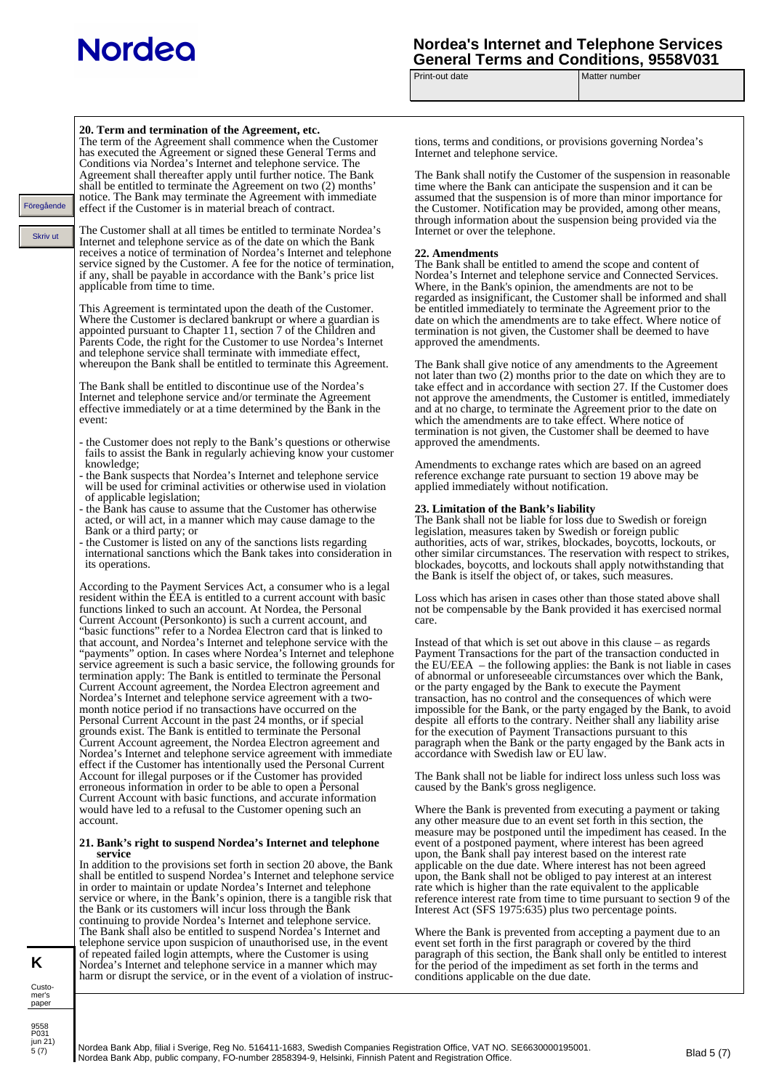## **Nordea's Internet and Telephone Services General Terms and Conditions, 9558V031**

Print-out date Matter number

|                        | 20. Term and termination of the Agreement, etc.<br>The term of the Agreement shall commence when the Customer<br>has executed the Agreement or signed these General Terms and                                                                                                          | tions, terms and conditions, or provisions governing Nordea's<br>Internet and telephone service.                                                                                                                                                                                    |
|------------------------|----------------------------------------------------------------------------------------------------------------------------------------------------------------------------------------------------------------------------------------------------------------------------------------|-------------------------------------------------------------------------------------------------------------------------------------------------------------------------------------------------------------------------------------------------------------------------------------|
|                        | Conditions via Nordea's Internet and telephone service. The<br>Agreement shall thereafter apply until further notice. The Bank<br>shall be entitled to terminate the Agreement on two (2) months'<br>notice. The Bank may terminate the Agreement with immediate                       | The Bank shall notify the Customer of the suspension in reasonable<br>time where the Bank can anticipate the suspension and it can be<br>assumed that the suspension is of more than minor importance for                                                                           |
| Föregående<br>Skriv ut | effect if the Customer is in material breach of contract.<br>The Customer shall at all times be entitled to terminate Nordea's                                                                                                                                                         | the Customer. Notification may be provided, among other means,<br>through information about the suspension being provided via the<br>Internet or over the telephone.                                                                                                                |
|                        | Internet and telephone service as of the date on which the Bank<br>receives a notice of termination of Nordea's Internet and telephone<br>service signed by the Customer. A fee for the notice of termination,                                                                         | 22. Amendments<br>The Bank shall be entitled to amend the scope and content of<br>Nordea's Internet and telephone service and Connected Services.                                                                                                                                   |
|                        | if any, shall be payable in accordance with the Bank's price list<br>applicable from time to time.<br>This Agreement is termintated upon the death of the Customer.                                                                                                                    | Where, in the Bank's opinion, the amendments are not to be.<br>regarded as insignificant, the Customer shall be informed and shall<br>be entitled immediately to terminate the Agreement prior to the                                                                               |
|                        | Where the Customer is declared bankrupt or where a guardian is<br>appointed pursuant to Chapter 11, section 7 of the Children and<br>Parents Code, the right for the Customer to use Nordea's Internet<br>and telephone service shall terminate with immediate effect,                 | date on which the amendments are to take effect. Where notice of<br>termination is not given, the Customer shall be deemed to have<br>approved the amendments.                                                                                                                      |
|                        | whereupon the Bank shall be entitled to terminate this Agreement.<br>The Bank shall be entitled to discontinue use of the Nordea's                                                                                                                                                     | The Bank shall give notice of any amendments to the Agreement<br>not later than two (2) months prior to the date on which they are to<br>take effect and in accordance with section 27. If the Customer does                                                                        |
|                        | Internet and telephone service and/or terminate the Agreement<br>effective immediately or at a time determined by the Bank in the<br>event:                                                                                                                                            | not approve the amendments, the Customer is entitled, immediately<br>and at no charge, to terminate the Agreement prior to the date on<br>which the amendments are to take effect. Where notice of<br>termination is not given, the Customer shall be deemed to have                |
|                        | - the Customer does not reply to the Bank's questions or otherwise<br>fails to assist the Bank in regularly achieving know your customer                                                                                                                                               | approved the amendments.                                                                                                                                                                                                                                                            |
|                        | knowledge;<br>- the Bank suspects that Nordea's Internet and telephone service<br>will be used for criminal activities or otherwise used in violation<br>of applicable legislation;                                                                                                    | Amendments to exchange rates which are based on an agreed<br>reference exchange rate pursuant to section 19 above may be<br>applied immediately without notification.                                                                                                               |
|                        | - the Bank has cause to assume that the Customer has otherwise<br>acted, or will act, in a manner which may cause damage to the<br>Bank or a third party; or                                                                                                                           | 23. Limitation of the Bank's liability<br>The Bank shall not be liable for loss due to Swedish or foreign<br>legislation, measures taken by Swedish or foreign public                                                                                                               |
|                        | - the Customer is listed on any of the sanctions lists regarding<br>international sanctions which the Bank takes into consideration in<br>its operations.                                                                                                                              | authorities, acts of war, strikes, blockades, boycotts, lockouts, or<br>other similar circumstances. The reservation with respect to strikes,<br>blockades, boycotts, and lockouts shall apply not with standing that<br>the Bank is itself the object of, or takes, such measures. |
|                        | According to the Payment Services Act, a consumer who is a legal<br>resident within the EEA is entitled to a current account with basic<br>functions linked to such an account. At Nordea, the Personal<br>Current Account (Personkonto) is such a current account, and                | Loss which has arisen in cases other than those stated above shall<br>not be compensable by the Bank provided it has exercised normal<br>care.                                                                                                                                      |
|                        | "basic functions" refer to a Nordea Electron card that is linked to<br>that account, and Nordea's Internet and telephone service with the<br>"payments" option. In cases where Nordea's Internet and telephone<br>service agreement is such a basic service, the following grounds for | Instead of that which is set out above in this clause $-$ as regards<br>Payment Transactions for the part of the transaction conducted in<br>the EU/EEA – the following applies: the Bank is not liable in cases                                                                    |
|                        | termination apply: The Bank is entitled to terminate the Personal<br>Current Account agreement, the Nordea Electron agreement and<br>Nordea's Internet and telephone service agreement with a two-<br>month notice period if no transactions have occurred on the                      | of abnormal or unforeseeable circumstances over which the Bank,<br>or the party engaged by the Bank to execute the Payment<br>transaction, has no control and the consequences of which were                                                                                        |
|                        | Personal Current Account in the past 24 months, or if special<br>grounds exist. The Bank is entitled to terminate the Personal<br>Current Account agreement, the Nordea Electron agreement and                                                                                         | impossible for the Bank, or the party engaged by the Bank, to avoid<br>despite all efforts to the contrary. Neither shall any liability arise<br>for the execution of Payment Transactions pursuant to this<br>paragraph when the Bank or the party engaged by the Bank acts in     |
|                        | Nordea's Internet and telephone service agreement with immediate<br>effect if the Customer has intentionally used the Personal Current<br>Account for illegal purposes or if the Customer has provided                                                                                 | accordance with Swedish law or EU law.<br>The Bank shall not be liable for indirect loss unless such loss was                                                                                                                                                                       |
|                        | erroneous information in order to be able to open a Personal<br>Current Account with basic functions, and accurate information                                                                                                                                                         | caused by the Bank's gross negligence.                                                                                                                                                                                                                                              |
|                        | would have led to a refusal to the Customer opening such an<br>account.<br>21. Bank's right to suspend Nordea's Internet and telephone                                                                                                                                                 | Where the Bank is prevented from executing a payment or taking<br>any other measure due to an event set forth in this section, the<br>measure may be postponed until the impediment has ceased. In the<br>event of a postponed payment, where interest has been agreed              |
|                        | service<br>In addition to the provisions set forth in section 20 above, the Bank<br>shall be entitled to suspend Nordea's Internet and telephone service                                                                                                                               | upon, the Bank shall pay interest based on the interest rate<br>applicable on the due date. Where interest has not been agreed<br>upon, the Bank shall not be obliged to pay interest at an interest                                                                                |
|                        | in order to maintain or update Nordea's Internet and telephone<br>service or where, in the Bank's opinion, there is a tangible risk that<br>the Bank or its customers will incur loss through the Bank                                                                                 | rate which is higher than the rate equivalent to the applicable<br>reference interest rate from time to time pursuant to section 9 of the<br>Interest Act (SFS 1975:635) plus two percentage points.                                                                                |
|                        | continuing to provide Nordea's Internet and telephone service.<br>The Bank shall also be entitled to suspend Nordea's Internet and<br>telephone service upon suspicion of unauthorised use, in the event                                                                               | Where the Bank is prevented from accepting a payment due to an<br>event set forth in the first paragraph or covered by the third                                                                                                                                                    |
| K<br>Custo-            | of repeated failed login attempts, where the Customer is using<br>Nordea's Internet and telephone service in a manner which may<br>harm or disrupt the service, or in the event of a violation of instruc-                                                                             | paragraph of this section, the Bank shall only be entitled to interest<br>for the period of the impediment as set forth in the terms and<br>conditions applicable on the due date.                                                                                                  |
| mer's<br>paper         |                                                                                                                                                                                                                                                                                        |                                                                                                                                                                                                                                                                                     |
| 9558                   |                                                                                                                                                                                                                                                                                        |                                                                                                                                                                                                                                                                                     |

9558 P031 jun 21) 5 (7)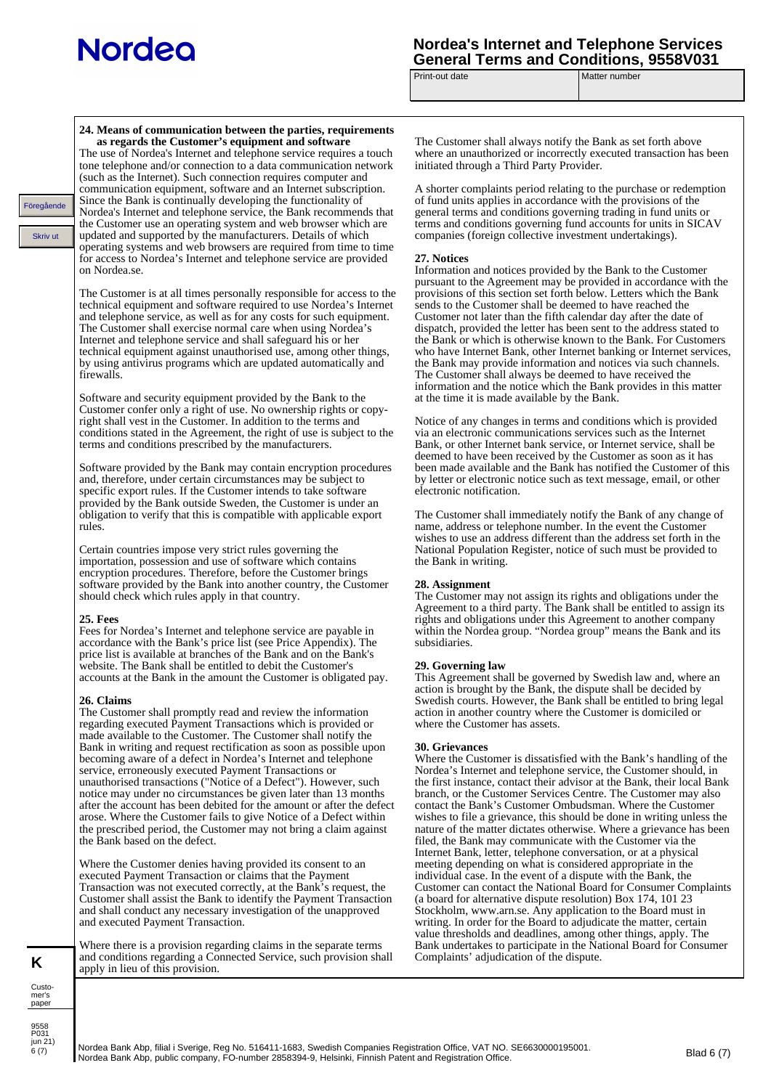Föregåen<br>Skriv

9558 P031<br>jun 21)  $6(7)$ 

**K**

Customer's paper

## **Nordea's Internet and Telephone Services General Terms and Conditions, 9558V031**<br>Print-out date **Matter number**

Matter number

| de<br>ıt | 24. Means of communication between the parties, requirements<br>as regards the Customer's equipment and software<br>The use of Nordea's Internet and telephone service requires a touch<br>tone telephone and/or connection to a data communication network<br>(such as the Internet). Such connection requires computer and<br>communication equipment, software and an Internet subscription.<br>Since the Bank is continually developing the functionality of<br>Nordea's Internet and telephone service, the Bank recommends that<br>the Customer use an operating system and web browser which are<br>updated and supported by the manufacturers. Details of which<br>operating systems and web browsers are required from time to time<br>for access to Nordea's Internet and telephone service are provided<br>on Nordea.se.<br>The Customer is at all times personally responsible for access to the<br>technical equipment and software required to use Nordea's Internet<br>and telephone service, as well as for any costs for such equipment.<br>The Customer shall exercise normal care when using Nordea's<br>Internet and telephone service and shall safeguard his or her<br>technical equipment against unauthorised use, among other things,<br>by using antivirus programs which are updated automatically and<br>firewalls.<br>Software and security equipment provided by the Bank to the<br>Customer confer only a right of use. No ownership rights or copy-<br>right shall vest in the Customer. In addition to the terms and<br>conditions stated in the Agreement, the right of use is subject to the<br>terms and conditions prescribed by the manufacturers.<br>Software provided by the Bank may contain encryption procedures<br>and, therefore, under certain circumstances may be subject to<br>specific export rules. If the Customer intends to take software<br>provided by the Bank outside Sweden, the Customer is under an<br>obligation to verify that this is compatible with applicable export<br>rules.<br>Certain countries impose very strict rules governing the<br>importation, possession and use of software which contains<br>encryption procedures. Therefore, before the Customer brings<br>software provided by the Bank into another country, the Customer<br>should check which rules apply in that country.<br><b>25. Fees</b><br>Fees for Nordea's Internet and telephone service are payable in<br>accordance with the Bank's price list (see Price Appendix). The<br>price list is available at branches of the Bank and on the Bank's<br>website. The Bank shall be entitled to debit the Customer's<br>accounts at the Bank in the amount the Customer is obligated pay.<br>26. Claims<br>The Customer shall promptly read and review the information<br>regarding executed Payment Transactions which is provided or<br>made available to the Customer. The Customer shall notify the<br>Bank in writing and request rectification as soon as possible upon<br>becoming aware of a defect in Nordea's Internet and telephone<br>service, erroneously executed Payment Transactions or<br>unauthorised transactions ("Notice of a Defect"). However, such<br>notice may under no circumstances be given later than 13 months<br>after the account has been debited for the amount or after the defect<br>arose. Where the Customer fails to give Notice of a Defect within<br>the prescribed period, the Customer may not bring a claim against<br>the Bank based on the defect. | The Customer shall always notify the Bank as set forth above<br>where an unauthorized or incorrectly executed transaction has been<br>initiated through a Third Party Provider.<br>A shorter complaints period relating to the purchase or redemption<br>of fund units applies in accordance with the provisions of the<br>general terms and conditions governing trading in fund units or<br>terms and conditions governing fund accounts for units in SICAV<br>companies (foreign collective investment undertakings).<br>27. Notices<br>Information and notices provided by the Bank to the Customer<br>pursuant to the Agreement may be provided in accordance with the<br>provisions of this section set forth below. Letters which the Bank<br>sends to the Customer shall be deemed to have reached the<br>Customer not later than the fifth calendar day after the date of<br>dispatch, provided the letter has been sent to the address stated to<br>the Bank or which is otherwise known to the Bank. For Customers<br>who have Internet Bank, other Internet banking or Internet services,<br>the Bank may provide information and notices via such channels.<br>The Customer shall always be deemed to have received the<br>information and the notice which the Bank provides in this matter<br>at the time it is made available by the Bank.<br>Notice of any changes in terms and conditions which is provided<br>via an electronic communications services such as the Internet<br>Bank, or other Internet bank service, or Internet service, shall be<br>deemed to have been received by the Customer as soon as it has<br>been made available and the Bank has notified the Customer of this<br>by letter or electronic notice such as text message, email, or other<br>electronic notification.<br>The Customer shall immediately notify the Bank of any change of<br>name, address or telephone number. In the event the Customer<br>wishes to use an address different than the address set forth in the<br>National Population Register, notice of such must be provided to<br>the Bank in writing.<br>28. Assignment<br>The Customer may not assign its rights and obligations under the<br>Agreement to a third party. The Bank shall be entitled to assign its<br>rights and obligations under this Agreement to another company<br>within the Nordea group. "Nordea group" means the Bank and its<br>subsidiaries.<br>29. Governing law<br>This Agreement shall be governed by Swedish law and, where an<br>action is brought by the Bank, the dispute shall be decided by<br>Swedish courts. However, the Bank shall be entitled to bring legal<br>action in another country where the Customer is domiciled or<br>where the Customer has assets.<br>30. Grievances<br>Where the Customer is dissatisfied with the Bank's handling of the<br>Nordea's Internet and telephone service, the Customer should, in<br>the first instance, contact their advisor at the Bank, their local Bank<br>branch, or the Customer Services Centre. The Customer may also<br>contact the Bank's Customer Ombudsman. Where the Customer<br>wishes to file a grievance, this should be done in writing unless the<br>filed, the Bank may communicate with the Customer via the<br>Internet Bank, letter, telephone conversation, or at a physical |
|----------|----------------------------------------------------------------------------------------------------------------------------------------------------------------------------------------------------------------------------------------------------------------------------------------------------------------------------------------------------------------------------------------------------------------------------------------------------------------------------------------------------------------------------------------------------------------------------------------------------------------------------------------------------------------------------------------------------------------------------------------------------------------------------------------------------------------------------------------------------------------------------------------------------------------------------------------------------------------------------------------------------------------------------------------------------------------------------------------------------------------------------------------------------------------------------------------------------------------------------------------------------------------------------------------------------------------------------------------------------------------------------------------------------------------------------------------------------------------------------------------------------------------------------------------------------------------------------------------------------------------------------------------------------------------------------------------------------------------------------------------------------------------------------------------------------------------------------------------------------------------------------------------------------------------------------------------------------------------------------------------------------------------------------------------------------------------------------------------------------------------------------------------------------------------------------------------------------------------------------------------------------------------------------------------------------------------------------------------------------------------------------------------------------------------------------------------------------------------------------------------------------------------------------------------------------------------------------------------------------------------------------------------------------------------------------------------------------------------------------------------------------------------------------------------------------------------------------------------------------------------------------------------------------------------------------------------------------------------------------------------------------------------------------------------------------------------------------------------------------------------------------------------------------------------------------------------------------------------------------------------------------------------------------------------------------------------------------------------------------------------------------------------------------------------------------------------------------------------------------------------------------------------------------------------------|-------------------------------------------------------------------------------------------------------------------------------------------------------------------------------------------------------------------------------------------------------------------------------------------------------------------------------------------------------------------------------------------------------------------------------------------------------------------------------------------------------------------------------------------------------------------------------------------------------------------------------------------------------------------------------------------------------------------------------------------------------------------------------------------------------------------------------------------------------------------------------------------------------------------------------------------------------------------------------------------------------------------------------------------------------------------------------------------------------------------------------------------------------------------------------------------------------------------------------------------------------------------------------------------------------------------------------------------------------------------------------------------------------------------------------------------------------------------------------------------------------------------------------------------------------------------------------------------------------------------------------------------------------------------------------------------------------------------------------------------------------------------------------------------------------------------------------------------------------------------------------------------------------------------------------------------------------------------------------------------------------------------------------------------------------------------------------------------------------------------------------------------------------------------------------------------------------------------------------------------------------------------------------------------------------------------------------------------------------------------------------------------------------------------------------------------------------------------------------------------------------------------------------------------------------------------------------------------------------------------------------------------------------------------------------------------------------------------------------------------------------------------------------------------------------------------------------------------------------------------------------------------------------------------------------------------------------------------------------------------------------------------------------------------------------------------------------------------------------------------------------------------------------------------------------------------------------------------------------------------------------------------------------------------------------------------------------------------------------------|
|          |                                                                                                                                                                                                                                                                                                                                                                                                                                                                                                                                                                                                                                                                                                                                                                                                                                                                                                                                                                                                                                                                                                                                                                                                                                                                                                                                                                                                                                                                                                                                                                                                                                                                                                                                                                                                                                                                                                                                                                                                                                                                                                                                                                                                                                                                                                                                                                                                                                                                                                                                                                                                                                                                                                                                                                                                                                                                                                                                                                                                                                                                                                                                                                                                                                                                                                                                                                                                                                                                                                                                              |                                                                                                                                                                                                                                                                                                                                                                                                                                                                                                                                                                                                                                                                                                                                                                                                                                                                                                                                                                                                                                                                                                                                                                                                                                                                                                                                                                                                                                                                                                                                                                                                                                                                                                                                                                                                                                                                                                                                                                                                                                                                                                                                                                                                                                                                                                                                                                                                                                                                                                                                                                                                                                                                                                                                                                                                                                                                                                                                                                                                                                                                                                                                                                                                                                                                                                                                                             |
|          |                                                                                                                                                                                                                                                                                                                                                                                                                                                                                                                                                                                                                                                                                                                                                                                                                                                                                                                                                                                                                                                                                                                                                                                                                                                                                                                                                                                                                                                                                                                                                                                                                                                                                                                                                                                                                                                                                                                                                                                                                                                                                                                                                                                                                                                                                                                                                                                                                                                                                                                                                                                                                                                                                                                                                                                                                                                                                                                                                                                                                                                                                                                                                                                                                                                                                                                                                                                                                                                                                                                                              |                                                                                                                                                                                                                                                                                                                                                                                                                                                                                                                                                                                                                                                                                                                                                                                                                                                                                                                                                                                                                                                                                                                                                                                                                                                                                                                                                                                                                                                                                                                                                                                                                                                                                                                                                                                                                                                                                                                                                                                                                                                                                                                                                                                                                                                                                                                                                                                                                                                                                                                                                                                                                                                                                                                                                                                                                                                                                                                                                                                                                                                                                                                                                                                                                                                                                                                                                             |
|          |                                                                                                                                                                                                                                                                                                                                                                                                                                                                                                                                                                                                                                                                                                                                                                                                                                                                                                                                                                                                                                                                                                                                                                                                                                                                                                                                                                                                                                                                                                                                                                                                                                                                                                                                                                                                                                                                                                                                                                                                                                                                                                                                                                                                                                                                                                                                                                                                                                                                                                                                                                                                                                                                                                                                                                                                                                                                                                                                                                                                                                                                                                                                                                                                                                                                                                                                                                                                                                                                                                                                              |                                                                                                                                                                                                                                                                                                                                                                                                                                                                                                                                                                                                                                                                                                                                                                                                                                                                                                                                                                                                                                                                                                                                                                                                                                                                                                                                                                                                                                                                                                                                                                                                                                                                                                                                                                                                                                                                                                                                                                                                                                                                                                                                                                                                                                                                                                                                                                                                                                                                                                                                                                                                                                                                                                                                                                                                                                                                                                                                                                                                                                                                                                                                                                                                                                                                                                                                                             |
|          |                                                                                                                                                                                                                                                                                                                                                                                                                                                                                                                                                                                                                                                                                                                                                                                                                                                                                                                                                                                                                                                                                                                                                                                                                                                                                                                                                                                                                                                                                                                                                                                                                                                                                                                                                                                                                                                                                                                                                                                                                                                                                                                                                                                                                                                                                                                                                                                                                                                                                                                                                                                                                                                                                                                                                                                                                                                                                                                                                                                                                                                                                                                                                                                                                                                                                                                                                                                                                                                                                                                                              | nature of the matter dictates otherwise. Where a grievance has been                                                                                                                                                                                                                                                                                                                                                                                                                                                                                                                                                                                                                                                                                                                                                                                                                                                                                                                                                                                                                                                                                                                                                                                                                                                                                                                                                                                                                                                                                                                                                                                                                                                                                                                                                                                                                                                                                                                                                                                                                                                                                                                                                                                                                                                                                                                                                                                                                                                                                                                                                                                                                                                                                                                                                                                                                                                                                                                                                                                                                                                                                                                                                                                                                                                                                         |
|          | Where the Customer denies having provided its consent to an<br>executed Payment Transaction or claims that the Payment<br>Transaction was not executed correctly, at the Bank's request, the<br>Customer shall assist the Bank to identify the Payment Transaction<br>and shall conduct any necessary investigation of the unapproved<br>and executed Payment Transaction.                                                                                                                                                                                                                                                                                                                                                                                                                                                                                                                                                                                                                                                                                                                                                                                                                                                                                                                                                                                                                                                                                                                                                                                                                                                                                                                                                                                                                                                                                                                                                                                                                                                                                                                                                                                                                                                                                                                                                                                                                                                                                                                                                                                                                                                                                                                                                                                                                                                                                                                                                                                                                                                                                                                                                                                                                                                                                                                                                                                                                                                                                                                                                                   | meeting depending on what is considered appropriate in the<br>individual case. In the event of a dispute with the Bank, the<br>Customer can contact the National Board for Consumer Complaints<br>(a board for alternative dispute resolution) Box 174, 101 23<br>Stockholm, www.arn.se. Any application to the Board must in<br>writing. In order for the Board to adjudicate the matter, certain<br>value thresholds and deadlines, among other things, apply. The                                                                                                                                                                                                                                                                                                                                                                                                                                                                                                                                                                                                                                                                                                                                                                                                                                                                                                                                                                                                                                                                                                                                                                                                                                                                                                                                                                                                                                                                                                                                                                                                                                                                                                                                                                                                                                                                                                                                                                                                                                                                                                                                                                                                                                                                                                                                                                                                                                                                                                                                                                                                                                                                                                                                                                                                                                                                                        |
|          | Where there is a provision regarding claims in the separate terms<br>and conditions regarding a Connected Service, such provision shall<br>apply in lieu of this provision.                                                                                                                                                                                                                                                                                                                                                                                                                                                                                                                                                                                                                                                                                                                                                                                                                                                                                                                                                                                                                                                                                                                                                                                                                                                                                                                                                                                                                                                                                                                                                                                                                                                                                                                                                                                                                                                                                                                                                                                                                                                                                                                                                                                                                                                                                                                                                                                                                                                                                                                                                                                                                                                                                                                                                                                                                                                                                                                                                                                                                                                                                                                                                                                                                                                                                                                                                                  | Bank undertakes to participate in the National Board for Consumer<br>Complaints' adjudication of the dispute.                                                                                                                                                                                                                                                                                                                                                                                                                                                                                                                                                                                                                                                                                                                                                                                                                                                                                                                                                                                                                                                                                                                                                                                                                                                                                                                                                                                                                                                                                                                                                                                                                                                                                                                                                                                                                                                                                                                                                                                                                                                                                                                                                                                                                                                                                                                                                                                                                                                                                                                                                                                                                                                                                                                                                                                                                                                                                                                                                                                                                                                                                                                                                                                                                                               |
|          |                                                                                                                                                                                                                                                                                                                                                                                                                                                                                                                                                                                                                                                                                                                                                                                                                                                                                                                                                                                                                                                                                                                                                                                                                                                                                                                                                                                                                                                                                                                                                                                                                                                                                                                                                                                                                                                                                                                                                                                                                                                                                                                                                                                                                                                                                                                                                                                                                                                                                                                                                                                                                                                                                                                                                                                                                                                                                                                                                                                                                                                                                                                                                                                                                                                                                                                                                                                                                                                                                                                                              |                                                                                                                                                                                                                                                                                                                                                                                                                                                                                                                                                                                                                                                                                                                                                                                                                                                                                                                                                                                                                                                                                                                                                                                                                                                                                                                                                                                                                                                                                                                                                                                                                                                                                                                                                                                                                                                                                                                                                                                                                                                                                                                                                                                                                                                                                                                                                                                                                                                                                                                                                                                                                                                                                                                                                                                                                                                                                                                                                                                                                                                                                                                                                                                                                                                                                                                                                             |

Nordea Bank Abp, filial i Sverige, Reg No. 516411-1683, Swedish Companies Registration Office, VAT NO. SE6630000195001. nordea Bank Abp, fillal i Sverige, Reg No. 516411-1683, Swedish Companies Registration Office, VAT NO. SE6630000195001.<br>Nordea Bank Abp, public company, FO-number 2858394-9, Helsinki, Finnish Patent and Registration Office